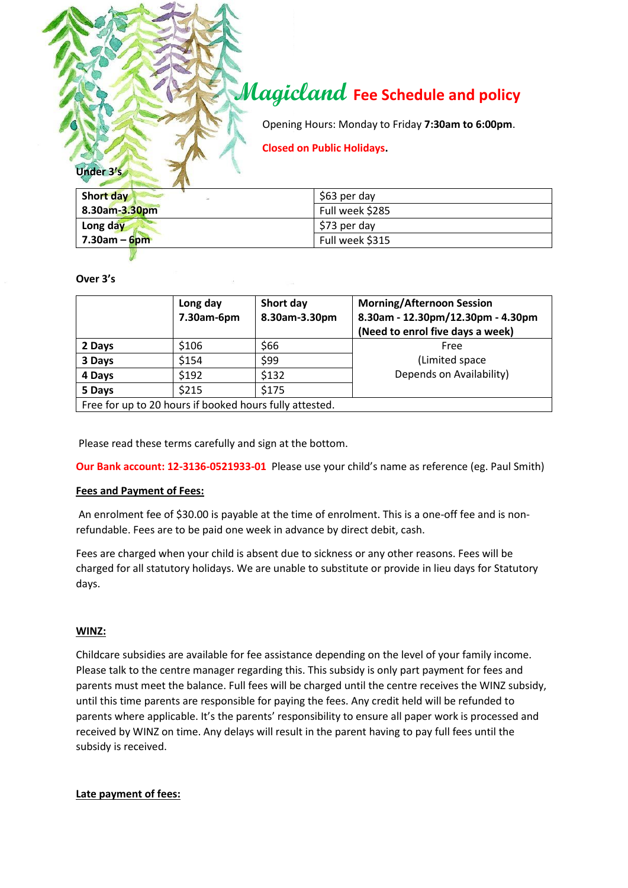# **Magicland Fee Schedule and policy**

Opening Hours: Monday to Friday **7:30am to 6:00pm**.

**Closed on Public Holidays.**

| Short day<br>÷  | \$63 per day    |  |
|-----------------|-----------------|--|
| 8.30am-3.30pm   | Full week \$285 |  |
| Long day        | \$73 per day    |  |
| $7.30$ am – 6pm | Full week \$315 |  |

#### **Over 3's**

**Under 3's**

|                                                         | Long day<br>7.30am-6pm | Short day<br>8.30am-3.30pm | <b>Morning/Afternoon Session</b><br>8.30am - 12.30pm/12.30pm - 4.30pm<br>(Need to enrol five days a week) |  |
|---------------------------------------------------------|------------------------|----------------------------|-----------------------------------------------------------------------------------------------------------|--|
| 2 Days                                                  | \$106                  | \$66                       | Free                                                                                                      |  |
| 3 Days                                                  | \$154                  | \$99                       | (Limited space                                                                                            |  |
| 4 Days                                                  | \$192                  | \$132                      | Depends on Availability)                                                                                  |  |
| 5 Days                                                  | \$215                  | \$175                      |                                                                                                           |  |
| Free for up to 20 hours if booked hours fully attested. |                        |                            |                                                                                                           |  |

Please read these terms carefully and sign at the bottom.

**Our Bank account: 12-3136-0521933-01** Please use your child's name as reference (eg. Paul Smith)

## **Fees and Payment of Fees:**

An enrolment fee of \$30.00 is payable at the time of enrolment. This is a one-off fee and is nonrefundable. Fees are to be paid one week in advance by direct debit, cash.

Fees are charged when your child is absent due to sickness or any other reasons. Fees will be charged for all statutory holidays. We are unable to substitute or provide in lieu days for Statutory days.

#### **WINZ:**

Childcare subsidies are available for fee assistance depending on the level of your family income. Please talk to the centre manager regarding this. This subsidy is only part payment for fees and parents must meet the balance. Full fees will be charged until the centre receives the WINZ subsidy, until this time parents are responsible for paying the fees. Any credit held will be refunded to parents where applicable. It's the parents' responsibility to ensure all paper work is processed and received by WINZ on time. Any delays will result in the parent having to pay full fees until the subsidy is received.

## **Late payment of fees:**